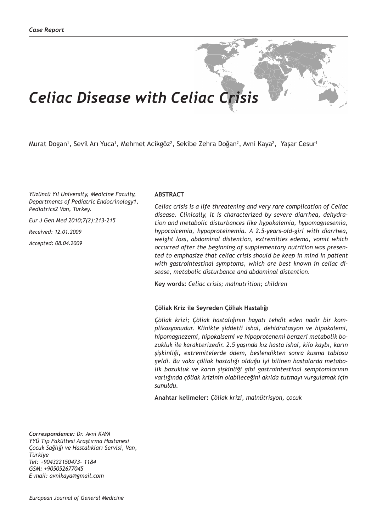# *Celiac Disease with Celiac Crisis*

Murat Dogan', Sevil Arı Yuca', Mehmet Acikgöz<sup>2</sup>, Sekibe Zehra Doğan<sup>2</sup>, Avni Kaya<sup>2</sup>, Yaşar Cesur'

*Yüzüncü Yıl University, Medicine Faculty, Departments of Pediatric Endocrinology1, Pediatrics2 Van, Turkey.*

*Eur J Gen Med 2010;7(2):213-215*

*Received: 12.01.2009*

*Accepted: 08.04.2009*

*Correspondence: Dr. Avni KAYA YYÜ Tıp Fakültesi Araştırma Hastanesi Çocuk Sağlığı ve Hastalıkları Servisi, Van, Türkiye Tel: +904322150473- 1184 GSM: +905052677045 E-mail: avnikaya@gmail.com*

## **ABSTRACT**

*Celiac crisis is a life threatening and very rare complication of Celiac disease. Clinically, it is characterized by severe diarrhea, dehydration and metabolic disturbances like hypokalemia, hypomagnesemia, hypocalcemia, hypoproteinemia. A 2.5-years-old-girl with diarrhea, weight loss, abdominal distention, extremities edema, vomit which occurred after the beginning of supplementary nutrition was presented to emphasize that celiac crisis should be keep in mind in patient with gastrointestinal symptoms, which are best known in celiac disease, metabolic disturbance and abdominal distention.*

**Key words:** *Celiac crisis; malnutrition; children*

#### **Çöliak Kriz ile Seyreden Çöliak Hastalığı**

*Çöliak krizi; Çöliak hastalığının hayatı tehdit eden nadir bir komplikasyonudur. Klinikte şiddetli ishal, dehidratasyon ve hipokalemi, hipomagnezemi, hipokalsemi ve hipoprotenemi benzeri metabolik bozukluk ile karakterizedir. 2.5 yaşında kız hasta ishal, kilo kaybı, karın şişkinliği, extremitelerde ödem, beslendikten sonra kusma tablosu geldi. Bu vaka çöliak hastalığı olduğu iyi bilinen hastalarda metabolik bozukluk ve karın şişkinliği gibi gastrointestinal semptomlarının varlığında çöliak krizinin olabileceğini akılda tutmayı vurgulamak için sunuldu.*

**Anahtar kelimeler:** *Çöliak krizi, malnütrisyon, çocuk*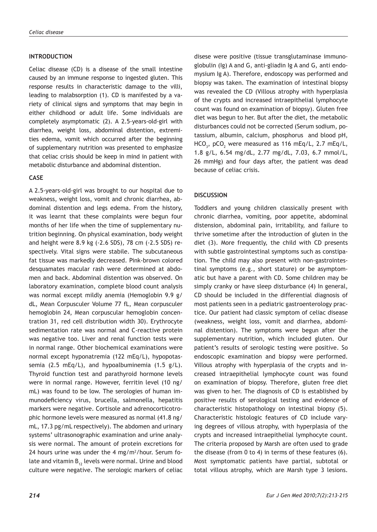#### **INTRODUCTION**

Celiac disease (CD) is a disease of the small intestine caused by an immune response to ingested gluten. This response results in characteristic damage to the villi, leading to malabsorption (1). CD is manifested by a variety of clinical signs and symptoms that may begin in either childhood or adult life. Some individuals are completely asymptomatic (2). A 2.5-years-old-girl with diarrhea, weight loss, abdominal distention, extremities edema, vomit which occurred after the beginning of supplementary nutrition was presented to emphasize that celiac crisis should be keep in mind in patient with metabolic disturbance and abdominal distention.

## **CASE**

A 2.5-years-old-girl was brought to our hospital due to weakness, weight loss, vomit and chronic diarrhea, abdominal distention and legs edema. From the history, it was learnt that these complaints were begun four months of her life when the time of supplementary nutrition beginning. On physical examination, body weight and height were 8.9 kg (-2.6 SDS), 78 cm (-2.5 SDS) respectively. Vital signs were stabile. The subcutaneous fat tissue was markedly decreased. Pink-brown colored desquamates macular rash were determined at abdomen and back. Abdominal distention was observed. On laboratory examination, complete blood count analysis was normal except mildly anemia (Hemoglobin 9.9 g/ dL, Mean Corpusculer Volume 77 fL, Mean corpusculer hemoglobin 24, Mean corpuscular hemoglobin concentration 31, red cell distribution width 30). Erythrocyte sedimentation rate was normal and C-reactive protein was negative too. Liver and renal function tests were in normal range. Other biochemical examinations were normal except hyponatremia (122 mEq/L), hypopotassemia (2.5 mEq/L), and hypoalbuminemia (1.5 g/L). Thyroid function test and parathyroid hormone levels were in normal range. However, ferritin level (10 ng/ mL) was found to be low. The serologies of human immunodeficiency virus, brucella, salmonella, hepatitis markers were negative. Cortisole and adrenocorticotrophic hormone levels were measured as normal (41.8 ng/ mL, 17.3 pg/mL respectively). The abdomen and urinary systems' ultrasonographic examination and urine analysis were normal. The amount of protein excretions for 24 hours urine was under the 4 mg/m<sup>2</sup>/hour. Serum folate and vitamin  $B_{12}$  levels were normal. Urine and blood culture were negative. The serologic markers of celiac

disese were positive (tissue transglutaminase immunoglobulin (Ig) A and G, anti-gliadin Ig A and G, anti endomysium Ig A). Therefore, endoscopy was performed and biopsy was taken. The examination of intestinal biopsy was revealed the CD (Villous atrophy with hyperplasia of the crypts and increased intraepithelial lymphocyte count was found on examination of biopsy). Gluten free diet was begun to her. But after the diet, the metabolic disturbances could not be corrected (Serum sodium, potassium, albumin, calcium, phosphorus and blood pH,  $HCO<sub>3</sub>$ , pCO<sub>2</sub> were measured as 116 mEq/L, 2.7 mEq/L, 1.8 g/L, 6.54 mg/dL, 2.77 mg/dL, 7.03, 6.7 mmol/L, 26 mmHg) and four days after, the patient was dead because of celiac crisis.

## **DISCUSSION**

Toddlers and young children classically present with chronic diarrhea, vomiting, poor appetite, abdominal distension, abdominal pain, irritability, and failure to thrive sometime after the introduction of gluten in the diet (3). More frequently, the child with CD presents with subtle gastrointestinal symptoms such as constipation. The child may also present with non-gastrointestinal symptoms (e.g., short stature) or be asymptomatic but have a parent with CD. Some children may be simply cranky or have sleep disturbance (4) In general, CD should be included in the differential diagnosis of most patients seen in a pediatric gastroenterology practice. Our patient had classic symptom of celiac disease (weakness, weight loss, vomit and diarrhea, abdominal distention). The symptoms were begun after the supplementary nutrition, which included gluten. Our patient's results of serologic testing were positive. So endoscopic examination and biopsy were performed. Villous atrophy with hyperplasia of the crypts and increased intraepithelial lymphocyte count was found on examination of biopsy. Therefore, gluten free diet was given to her. The diagnosis of CD is established by positive results of serological testing and evidence of characteristic histopathology on intestinal biopsy (5). Characteristic histologic features of CD include varying degrees of villous atrophy, with hyperplasia of the crypts and increased intraepithelial lymphocyte count. The criteria proposed by Marsh are often used to grade the disease (from 0 to 4) in terms of these features (6). Most symptomatic patients have partial, subtotal or total villous atrophy, which are Marsh type 3 lesions.